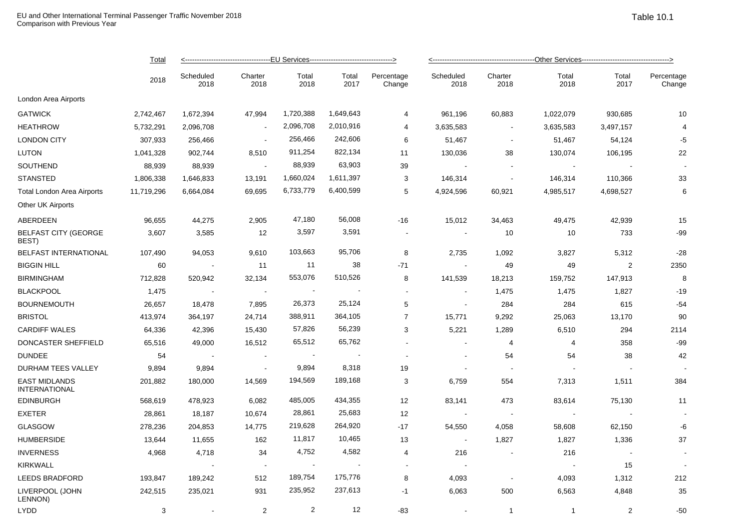|                                              | Total<br>2018 |                   |                 |                             |               |                      |                   |                 |               |                          |                      |  |
|----------------------------------------------|---------------|-------------------|-----------------|-----------------------------|---------------|----------------------|-------------------|-----------------|---------------|--------------------------|----------------------|--|
|                                              |               | Scheduled<br>2018 | Charter<br>2018 | Total<br>2018               | Total<br>2017 | Percentage<br>Change | Scheduled<br>2018 | Charter<br>2018 | Total<br>2018 | Total<br>2017            | Percentage<br>Change |  |
| London Area Airports                         |               |                   |                 |                             |               |                      |                   |                 |               |                          |                      |  |
| <b>GATWICK</b>                               | 2,742,467     | 1,672,394         | 47,994          | 1,720,388                   | 1,649,643     | $\overline{4}$       | 961,196           | 60,883          | 1,022,079     | 930,685                  | 10                   |  |
| <b>HEATHROW</b>                              | 5,732,291     | 2,096,708         |                 | 2,096,708                   | 2,010,916     | $\overline{4}$       | 3,635,583         | $\sim$          | 3,635,583     | 3,497,157                | 4                    |  |
| <b>LONDON CITY</b>                           | 307,933       | 256,466           | $\sim$          | 256,466                     | 242,606       | 6                    | 51,467            | $\sim$          | 51,467        | 54,124                   | -5                   |  |
| LUTON                                        | 1,041,328     | 902,744           | 8,510           | 911,254                     | 822,134       | 11                   | 130,036           | 38              | 130,074       | 106,195                  | 22                   |  |
| SOUTHEND                                     | 88,939        | 88,939            | $\sim$ $-$      | 88,939                      | 63,903        | 39                   | $\sim$            | $\sim$          | $\sim$        | $\overline{\phantom{a}}$ |                      |  |
| <b>STANSTED</b>                              | 1,806,338     | 1,646,833         | 13,191          | 1,660,024                   | 1,611,397     | 3                    | 146,314           | $\sim$          | 146,314       | 110,366                  | 33                   |  |
| Total London Area Airports                   | 11,719,296    | 6,664,084         | 69,695          | 6,733,779                   | 6,400,599     | 5                    | 4,924,596         | 60,921          | 4,985,517     | 4,698,527                | 6                    |  |
| Other UK Airports                            |               |                   |                 |                             |               |                      |                   |                 |               |                          |                      |  |
| ABERDEEN                                     | 96,655        | 44,275            | 2,905           | 47,180                      | 56,008        | -16                  | 15,012            | 34,463          | 49,475        | 42,939                   | 15                   |  |
| <b>BELFAST CITY (GEORGE</b><br>BEST)         | 3,607         | 3,585             | 12              | 3,597                       | 3,591         | $\blacksquare$       | $\blacksquare$    | 10              | 10            | 733                      | $-99$                |  |
| <b>BELFAST INTERNATIONAL</b>                 | 107,490       | 94,053            | 9,610           | 103,663                     | 95,706        | 8                    | 2,735             | 1,092           | 3,827         | 5,312                    | $-28$                |  |
| <b>BIGGIN HILL</b>                           | 60            | $\sim$ 10 $\pm$   | 11              | 11                          | 38            | $-71$                |                   | 49              | 49            | 2                        | 2350                 |  |
| <b>BIRMINGHAM</b>                            | 712,828       | 520,942           | 32,134          | 553,076                     | 510,526       | 8                    | 141,539           | 18,213          | 159,752       | 147,913                  | 8                    |  |
| <b>BLACKPOOL</b>                             | 1,475         | $\sim$ $\sim$     | $\sim$          | $\sim$                      |               | $\blacksquare$       | $\blacksquare$    | 1,475           | 1,475         | 1,827                    | $-19$                |  |
| <b>BOURNEMOUTH</b>                           | 26,657        | 18,478            | 7,895           | 26,373                      | 25,124        | 5                    | $\sim$            | 284             | 284           | 615                      | $-54$                |  |
| <b>BRISTOL</b>                               | 413,974       | 364,197           | 24,714          | 388,911                     | 364,105       | $\overline{7}$       | 15,771            | 9,292           | 25,063        | 13,170                   | 90                   |  |
| <b>CARDIFF WALES</b>                         | 64,336        | 42,396            | 15,430          | 57,826                      | 56,239        | 3                    | 5,221             | 1,289           | 6,510         | 294                      | 2114                 |  |
| DONCASTER SHEFFIELD                          | 65,516        | 49,000            | 16,512          | 65,512                      | 65,762        | $\sim$               | $\sim$            | 4               | 4             | 358                      | $-99$                |  |
| <b>DUNDEE</b>                                | 54            | $\sim$ $-$        | $\sim$          | $\sim$                      |               | $\sim$               |                   | 54              | 54            | 38                       | 42                   |  |
| DURHAM TEES VALLEY                           | 9,894         | 9,894             | $\sim$ $-$      | 9,894                       | 8,318         | 19                   | $\sim$            | $\sim$          |               |                          |                      |  |
| <b>EAST MIDLANDS</b><br><b>INTERNATIONAL</b> | 201,882       | 180,000           | 14,569          | 194,569                     | 189,168       | 3                    | 6,759             | 554             | 7,313         | 1,511                    | 384                  |  |
| <b>EDINBURGH</b>                             | 568,619       | 478,923           | 6,082           | 485,005                     | 434,355       | 12                   | 83,141            | 473             | 83,614        | 75,130                   | 11                   |  |
| <b>EXETER</b>                                | 28,861        | 18,187            | 10,674          | 28,861                      | 25,683        | 12                   |                   | $\sim$          |               |                          |                      |  |
| <b>GLASGOW</b>                               | 278,236       | 204,853           | 14,775          | 219,628                     | 264,920       | $-17$                | 54,550            | 4,058           | 58,608        | 62,150                   | -6                   |  |
| <b>HUMBERSIDE</b>                            | 13,644        | 11,655            | 162             | 11,817                      | 10,465        | 13                   | $\sim$            | 1,827           | 1,827         | 1,336                    | 37                   |  |
| <b>INVERNESS</b>                             | 4,968         | 4,718             | 34              | 4,752                       | 4,582         | 4                    | 216               | $\sim$          | 216           | $\sim$                   |                      |  |
| <b>KIRKWALL</b>                              |               |                   | $\sim$          | $\mathcal{L}_{\mathcal{A}}$ |               | $\sim$               | $\sim$            |                 | $\sim$        | 15                       |                      |  |
| <b>LEEDS BRADFORD</b>                        | 193,847       | 189,242           | 512             | 189,754                     | 175,776       | 8                    | 4,093             | $\sim$          | 4,093         | 1,312                    | 212                  |  |
| LIVERPOOL (JOHN<br>LENNON)                   | 242,515       | 235,021           | 931             | 235,952                     | 237,613       | $-1$                 | 6,063             | 500             | 6,563         | 4,848                    | 35                   |  |
| <b>LYDD</b>                                  | 3             |                   | 2               | $\overline{2}$              | 12            | -83                  |                   | $\mathbf{1}$    | $\mathbf{1}$  | 2                        | $-50$                |  |